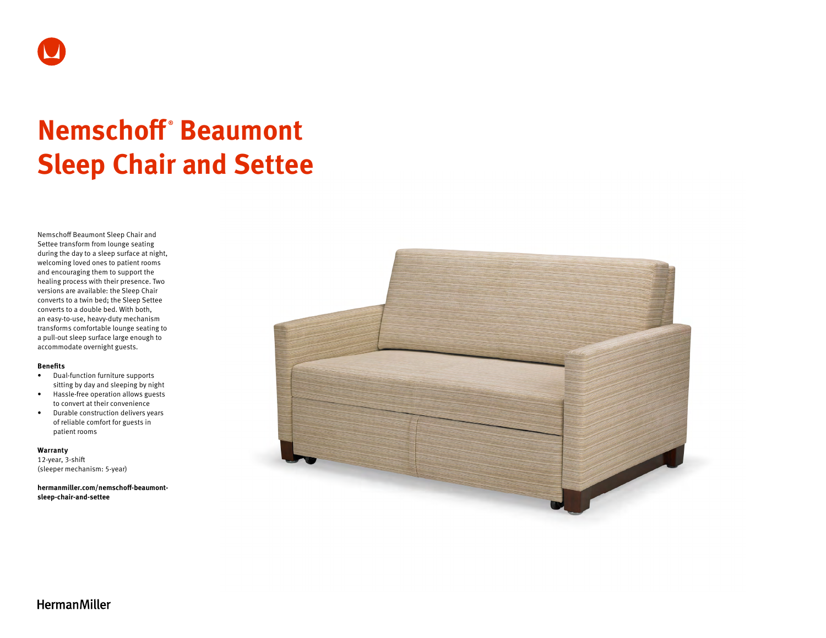

# **Nemschoff ® Beaumont Sleep Chair and Settee**

Nemschoff Beaumont Sleep Chair and Settee transform from lounge seating during the day to a sleep surface at night, welcoming loved ones to patient rooms and encouraging them to support the healing process with their presence. Two versions are available: the Sleep Chair converts to a twin bed; the Sleep Settee converts to a double bed. With both, an easy-to-use, heavy-duty mechanism transforms comfortable lounge seating to a pull-out sleep surface large enough to accommodate overnight guests.

#### **Benefits**

- Dual-function furniture supports sitting by day and sleeping by night
- Hassle-free operation allows guests to convert at their convenience
- Durable construction delivers years of reliable comfort for guests in patient rooms

# **Warranty**

12-year, 3-shift (sleeper mechanism: 5-year)

**[hermanmiller.com/nemschoff-beaumont](http://hermanmiller.com/nemschoff-beaumont-sleep-chair-and-settee)[sleep-chair-and-settee](http://hermanmiller.com/nemschoff-beaumont-sleep-chair-and-settee)**



**HermanMiller**